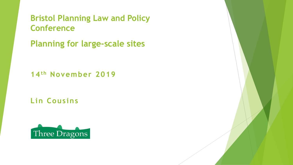**Bristol Planning Law and Policy Conference** 

**Planning for large-scale sites** 

**14th November 2019**

**Lin Cousins**

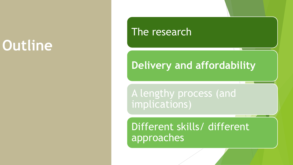# **Outline**

The research

#### **Delivery and affordability**

A lengthy process (and implications)

Different skills/ different approaches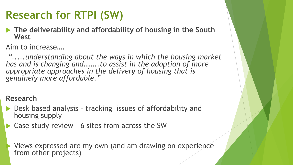# **Research for RTPI (SW)**

 **The deliverability and affordability of housing in the South West** 

Aim to increase….

*".....understanding about the ways in which the housing market has and is changing and……..to assist in the adoption of more appropriate approaches in the delivery of housing that is genuinely more affordable."*

#### **Research**

- ▶ Desk based analysis tracking issues of affordability and housing supply
- ▶ Case study review 6 sites from across the SW

 Views expressed are my own (and am drawing on experience from other projects)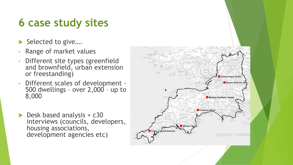### **6 case study sites**

- Selected to give....
- Range of market values
- Different site types (greenfield and brownfield, urban extension or freestanding)
- Different scales of development 500 dwellings - over 2,000 – up to 8,000
- Desk based analysis + c30 interviews (councils, developers, housing associations, development agencies etc)

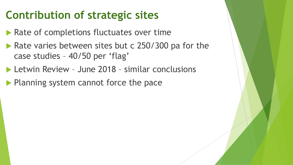#### **Contribution of strategic sites**

- **Rate of completions fluctuates over time**
- Rate varies between sites but c 250/300 pa for the case studies – 40/50 per 'flag'
- ▶ Letwin Review June 2018 similar conclusions
- $\blacktriangleright$  Planning system cannot force the pace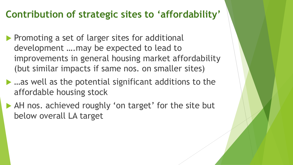#### **Contribution of strategic sites to 'affordability'**

- **Promoting a set of larger sites for additional** development ….may be expected to lead to improvements in general housing market affordability (but similar impacts if same nos. on smaller sites)
- …as well as the potential significant additions to the affordable housing stock
- AH nos. achieved roughly 'on target' for the site but below overall LA target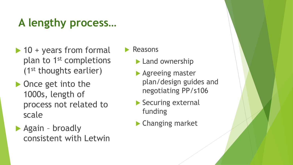# **A lengthy process…**

- $\blacktriangleright$  10 + years from formal plan to 1st completions (1st thoughts earlier)
- Once get into the 1000s, length of process not related to scale
- Again broadly consistent with Letwin

 $\blacktriangleright$  Reasons

- **Land ownership**
- **Agreeing master** plan/design guides and negotiating PP/s106
- Securing external funding
- ▶ Changing market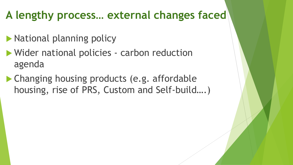# **A lengthy process… external changes faced**

- **National planning policy**
- Wider national policies carbon reduction agenda
- ▶ Changing housing products (e.g. affordable housing, rise of PRS, Custom and Self-build….)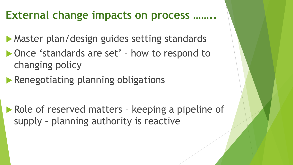#### **External change impacts on process ……..**

**Master plan/design guides setting standards** 

- ▶ Once 'standards are set' how to respond to changing policy
- **Renegotiating planning obligations**

Role of reserved matters - keeping a pipeline of supply – planning authority is reactive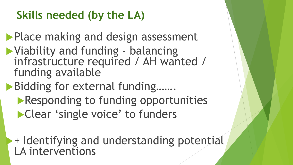# **Skills needed (by the LA)**

**Place making and design assessment** 

Viability and funding - balancing infrastructure required / AH wanted / funding available

Bidding for external funding....... **Responding to funding opportunities** Clear 'single voice' to funders

+ Identifying and understanding potential LA interventions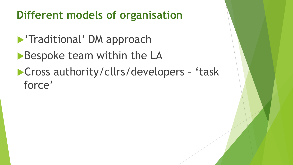#### **Different models of organisation**

- **Traditional' DM approach**
- Bespoke team within the LA
- **Cross authority/cllrs/developers 'task** force'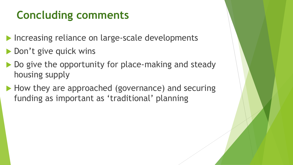### **Concluding comments**

- Increasing reliance on large-scale developments
- ▶ Don't give quick wins
- Do give the opportunity for place-making and steady housing supply
- How they are approached (governance) and securing funding as important as 'traditional' planning